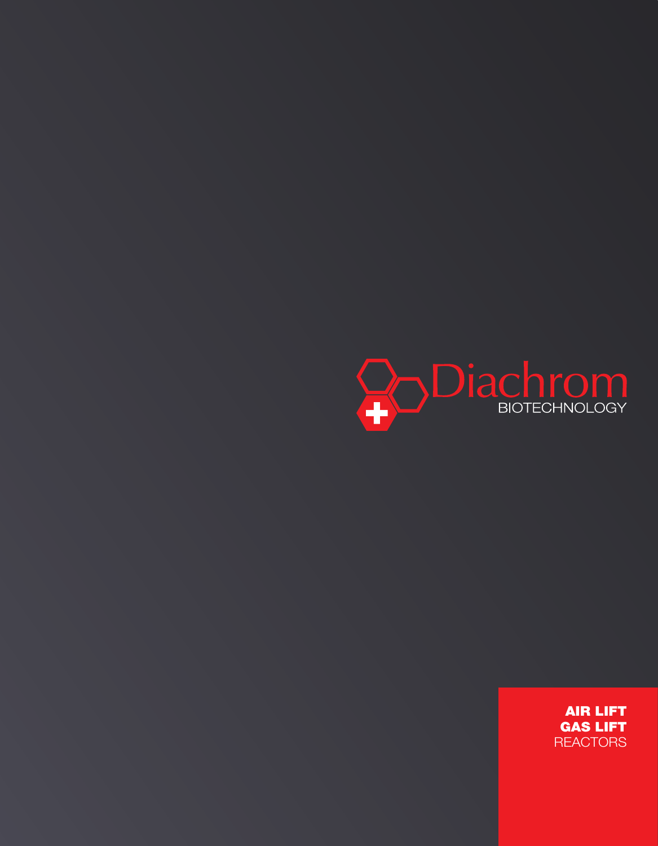